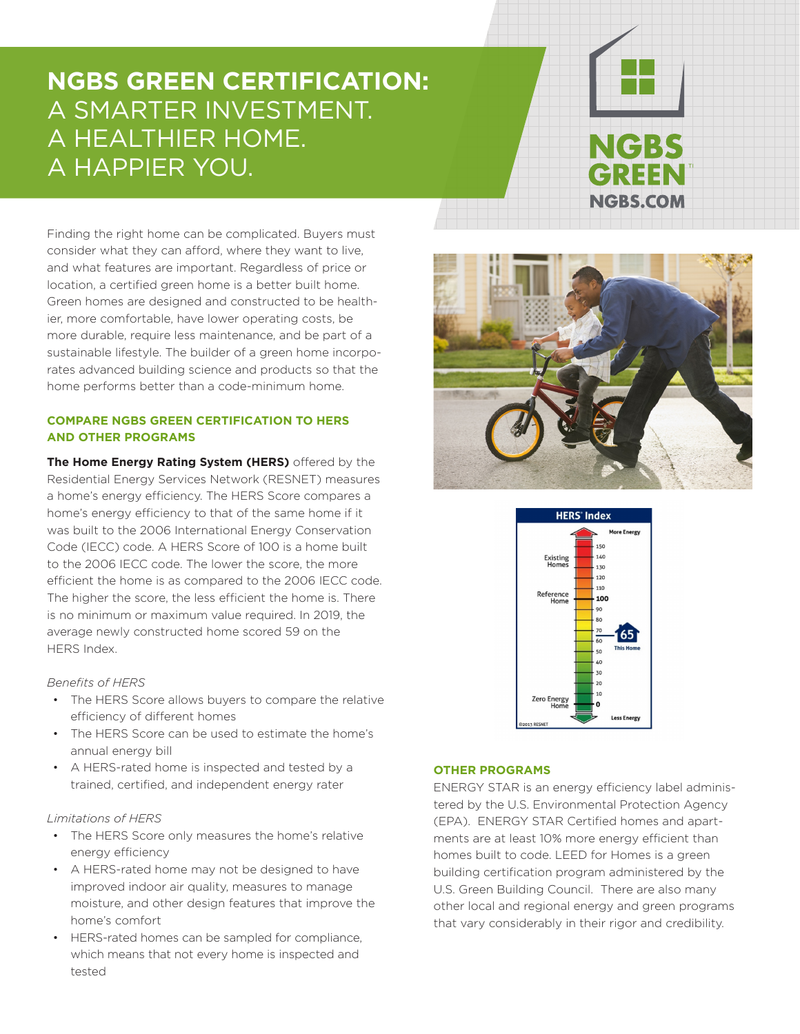## **NGBS GREEN CERTIFICATION:**  A SMARTER INVESTMENT. A HEALTHIER HOME. A HAPPIER YOU.

# **NGBS GREEN NGBS.COM**

Finding the right home can be complicated. Buyers must consider what they can afford, where they want to live, and what features are important. Regardless of price or location, a certified green home is a better built home. Green homes are designed and constructed to be healthier, more comfortable, have lower operating costs, be more durable, require less maintenance, and be part of a sustainable lifestyle. The builder of a green home incorporates advanced building science and products so that the home performs better than a code-minimum home.

#### **COMPARE NGBS GREEN CERTIFICATION TO HERS AND OTHER PROGRAMS**

**The Home Energy Rating System (HERS)** offered by the Residential Energy Services Network (RESNET) measures a home's energy efficiency. The HERS Score compares a home's energy efficiency to that of the same home if it was built to the 2006 International Energy Conservation Code (IECC) code. A HERS Score of 100 is a home built to the 2006 IECC code. The lower the score, the more efficient the home is as compared to the 2006 IECC code. The higher the score, the less efficient the home is. There is no minimum or maximum value required. In 2019, the average newly constructed home scored 59 on the HERS Index.

#### *Benefits of HERS*

- The HERS Score allows buyers to compare the relative efficiency of different homes
- The HERS Score can be used to estimate the home's annual energy bill
- A HERS-rated home is inspected and tested by a trained, certified, and independent energy rater

#### *Limitations of HERS*

- The HERS Score only measures the home's relative energy efficiency
- A HERS-rated home may not be designed to have improved indoor air quality, measures to manage moisture, and other design features that improve the home's comfort
- HERS-rated homes can be sampled for compliance, which means that not every home is inspected and tested





#### **OTHER PROGRAMS**

ENERGY STAR is an energy efficiency label administered by the U.S. Environmental Protection Agency (EPA). ENERGY STAR Certified homes and apartments are at least 10% more energy efficient than homes built to code. LEED for Homes is a green building certification program administered by the U.S. Green Building Council. There are also many other local and regional energy and green programs that vary considerably in their rigor and credibility.